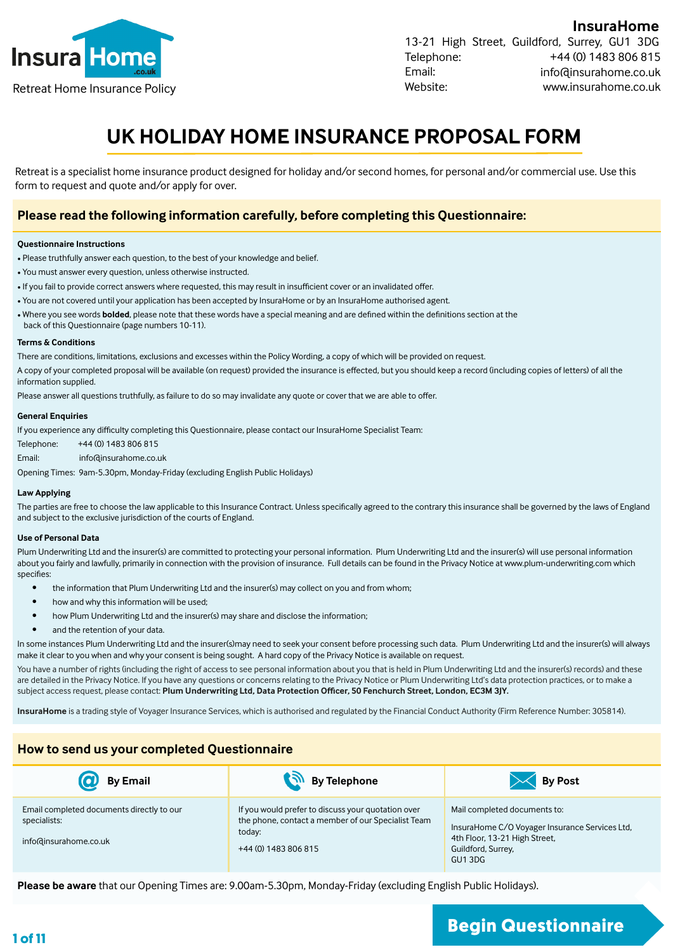

**InsuraHome** 13-21 High Street, Guildford, Surrey, GU1 3DG Telephone: Email: Website: +44 (0) 1483 806 815 info@insurahome.co.uk Retreat Home Insurance Policy www.insurahome.co.uk

# **UK HOLIDAY HOME INSURANCE PROPOSAL FORM**

Retreat is a specialist home insurance product designed for holiday and/or second homes, for personal and/or commercial use. Use this form to request and quote and/or apply for over.

### **Please read the following information carefully, before completing this Questionnaire:**

#### **Questionnaire Instructions**

- Please truthfully answer each question, to the best of your knowledge and belief.
- You must answer every question, unless otherwise instructed.
- If you fail to provide correct answers where requested, this may result in insufficient cover or an invalidated offer.
- You are not covered until your application has been accepted by InsuraHome or by an InsuraHome authorised agent.
- Where you see words **bolded**, please note that these words have a special meaning and are defined within the definitions section at the
- back of this Questionnaire (page numbers 10-11).

#### **Terms & Conditions**

There are conditions, limitations, exclusions and excesses within the Policy Wording, a copy of which will be provided on request.

A copy of your completed proposal will be available (on request) provided the insurance is effected, but you should keep a record (including copies of letters) of all the information supplied.

Please answer all questions truthfully, as failure to do so may invalidate any quote or cover that we are able to offer.

#### **General Enquiries**

If you experience any difficulty completing this Questionnaire, please contact our InsuraHome Specialist Team:

Telephone: +44 (0) 1483 806 815

Email: info@insurahome.co.uk

Opening Times: 9am-5.30pm, Monday-Friday (excluding English Public Holidays)

#### **Law Applying**

The parties are free to choose the law applicable to this Insurance Contract. Unless specifically agreed to the contrary this insurance shall be governed by the laws of England and subject to the exclusive jurisdiction of the courts of England.

#### **Use of Personal Data**

Plum Underwriting Ltd and the insurer(s) are committed to protecting your personal information. Plum Underwriting Ltd and the insurer(s) will use personal information about you fairly and lawfully, primarily in connection with the provision of insurance. Full details can be found in the Privacy Notice at www.plum-underwriting.com which specifies:

- the information that Plum Underwriting Ltd and the insurer(s) may collect on you and from whom;
- how and why this information will be used;
- how Plum Underwriting Ltd and the insurer(s) may share and disclose the information;
- and the retention of your data.

In some instances Plum Underwriting Ltd and the insurer(s)may need to seek your consent before processing such data. Plum Underwriting Ltd and the insurer(s) will always make it clear to you when and why your consent is being sought. A hard copy of the Privacy Notice is available on request.

You have a number of rights (including the right of access to see personal information about you that is held in Plum Underwriting Ltd and the insurer(s) records) and these are detailed in the Privacy Notice. If you have any questions or concerns relating to the Privacy Notice or Plum Underwriting Ltd's data protection practices, or to make a subject access request, please contact: **Plum Underwriting Ltd, Data Protection Officer, 50 Fenchurch Street, London, EC3M 3JY.**

**InsuraHome** is a trading style of Voyager Insurance Services, which is authorised and regulated by the Financial Conduct Authority (Firm Reference Number: 305814).

#### **How to send us your completed Questionnaire**

| <b>By Email</b>                                                                    | By Telephone                                                                                                                               | <b>By Post</b>                                                                                                                                  |
|------------------------------------------------------------------------------------|--------------------------------------------------------------------------------------------------------------------------------------------|-------------------------------------------------------------------------------------------------------------------------------------------------|
| Email completed documents directly to our<br>specialists:<br>info@insurahome.co.uk | If you would prefer to discuss your quotation over<br>the phone, contact a member of our Specialist Team<br>today:<br>+44 (0) 1483 806 815 | Mail completed documents to:<br>InsuraHome C/O Voyager Insurance Services Ltd,<br>4th Floor, 13-21 High Street,<br>Guildford, Surrey,<br>GU13DG |

**Please be aware** that our Opening Times are: 9.00am-5.30pm, Monday-Friday (excluding English Public Holidays).

# **1 of 11 Begin Questionnaire**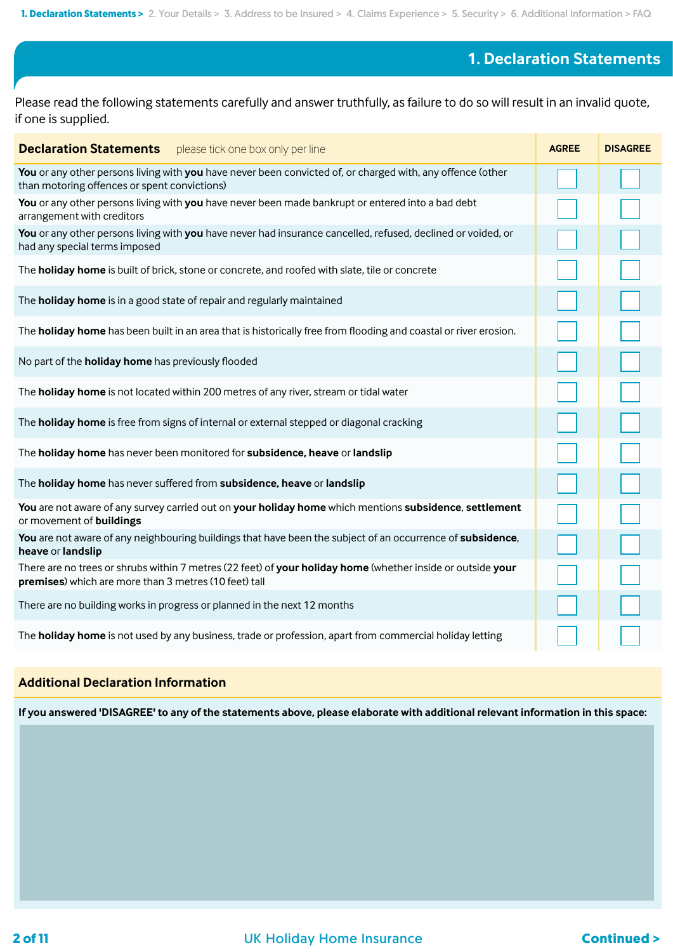### **1. Declaration Statements**

Please read the following statements carefully and answer truthfully, as failure to do so will result in an invalid quote, if one is supplied.

| <b>Declaration Statements</b> please tick one box only per line                                                                                                      | <b>AGREE</b> | <b>DISAGREE</b> |
|----------------------------------------------------------------------------------------------------------------------------------------------------------------------|--------------|-----------------|
| You or any other persons living with you have never been convicted of, or charged with, any offence (other<br>than motoring offences or spent convictions)           |              |                 |
| You or any other persons living with you have never been made bankrupt or entered into a bad debt<br>arrangement with creditors                                      |              |                 |
| You or any other persons living with you have never had insurance cancelled, refused, declined or voided, or<br>had any special terms imposed                        |              |                 |
| The holiday home is built of brick, stone or concrete, and roofed with slate, tile or concrete                                                                       |              |                 |
| The <b>holiday home</b> is in a good state of repair and regularly maintained                                                                                        |              |                 |
| The holiday home has been built in an area that is historically free from flooding and coastal or river erosion.                                                     |              |                 |
| No part of the <b>holiday home</b> has previously flooded                                                                                                            |              |                 |
| The holiday home is not located within 200 metres of any river, stream or tidal water                                                                                |              |                 |
| The holiday home is free from signs of internal or external stepped or diagonal cracking                                                                             |              |                 |
| The holiday home has never been monitored for subsidence, heave or landslip                                                                                          |              |                 |
| The holiday home has never suffered from subsidence, heave or landslip                                                                                               |              |                 |
| You are not aware of any survey carried out on your holiday home which mentions subsidence, settlement<br>or movement of buildings                                   |              |                 |
| You are not aware of any neighbouring buildings that have been the subject of an occurrence of subsidence,<br>heave or landslip                                      |              |                 |
| There are no trees or shrubs within 7 metres (22 feet) of your holiday home (whether inside or outside your<br>premises) which are more than 3 metres (10 feet) tall |              |                 |
| There are no building works in progress or planned in the next 12 months                                                                                             |              |                 |
| The holiday home is not used by any business, trade or profession, apart from commercial holiday letting                                                             |              |                 |

### **Additional Declaration Information**

**If you answered 'DISAGREE' to any of the statements above, please elaborate with additional relevant information in this space:**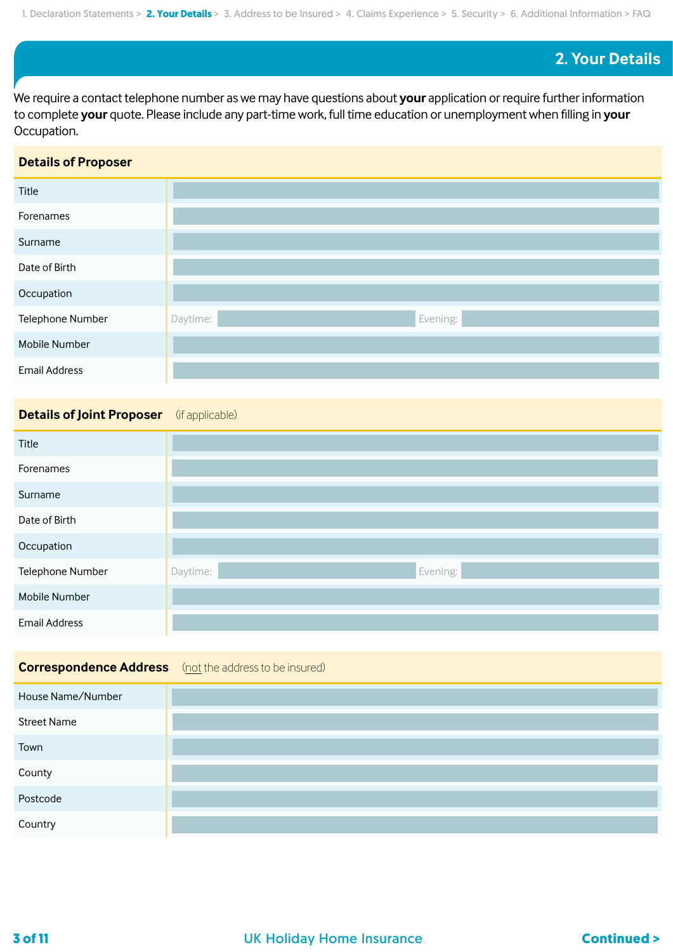### **2. Your Details**

We require a contact telephone number as we may have questions about **your** application or require further information to complete **your** quote. Please include any part-time work, full time education or unemployment when filling in **your**  Occupation.

### **Details of Proposer**

| Title                |                      |
|----------------------|----------------------|
| Forenames            |                      |
| Surname              |                      |
| Date of Birth        |                      |
| Occupation           |                      |
| Telephone Number     | Evening:<br>Daytime: |
| Mobile Number        |                      |
| <b>Email Address</b> |                      |

### **Details of Joint Proposer** (if applicable)

| Title                |                      |
|----------------------|----------------------|
| Forenames            |                      |
| Surname              |                      |
| Date of Birth        |                      |
| Occupation           |                      |
| Telephone Number     | Evening:<br>Daytime: |
| Mobile Number        |                      |
| <b>Email Address</b> |                      |

### **Correspondence Address** (not the address to be insured)

| House Name/Number  |  |
|--------------------|--|
| <b>Street Name</b> |  |
| Town               |  |
| County             |  |
| Postcode           |  |
| Country            |  |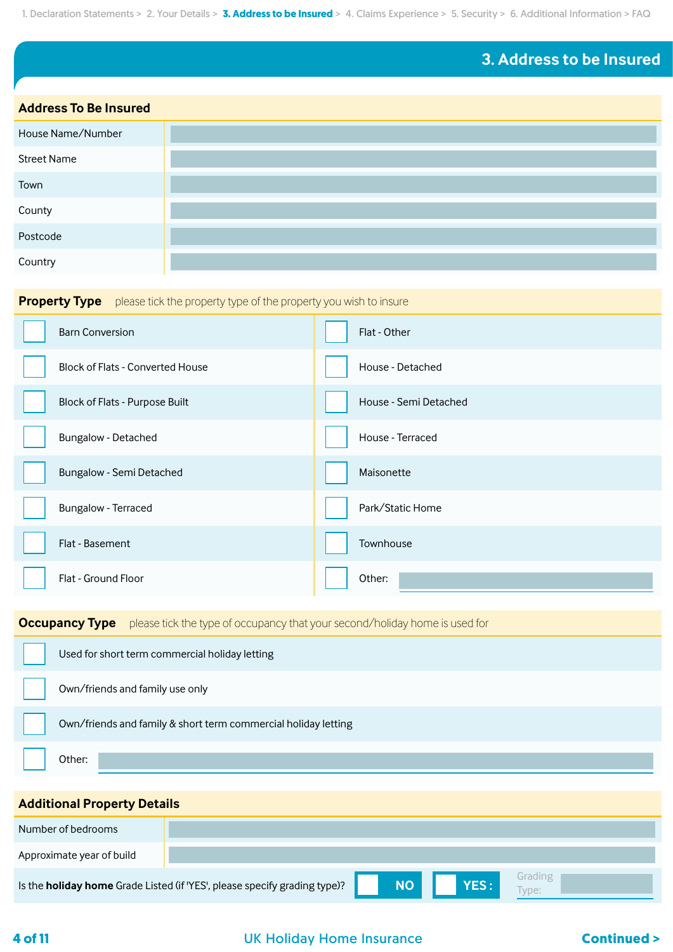# **3. Address to be Insured**

| <b>Address To Be Insured</b> |  |  |
|------------------------------|--|--|
| House Name/Number            |  |  |
| <b>Street Name</b>           |  |  |
| Town                         |  |  |
| County                       |  |  |
| Postcode                     |  |  |
| Country                      |  |  |

| <b>Property Type</b> please tick the property type of the property you wish to insure |                                         |                       |  |  |
|---------------------------------------------------------------------------------------|-----------------------------------------|-----------------------|--|--|
|                                                                                       | <b>Barn Conversion</b>                  | Flat - Other          |  |  |
|                                                                                       | <b>Block of Flats - Converted House</b> | House - Detached      |  |  |
|                                                                                       | Block of Flats - Purpose Built          | House - Semi Detached |  |  |
|                                                                                       | Bungalow - Detached                     | House - Terraced      |  |  |
|                                                                                       | Bungalow - Semi Detached                | Maisonette            |  |  |
|                                                                                       | Bungalow - Terraced                     | Park/Static Home      |  |  |
|                                                                                       | Flat - Basement                         | Townhouse             |  |  |
|                                                                                       | Flat - Ground Floor                     | Other:                |  |  |

**Occupancy Type** please tick the type of occupancy that your second/holiday home is used for

| Used for short term commercial holiday letting                 |
|----------------------------------------------------------------|
| Own/friends and family use only                                |
| Own/friends and family & short term commercial holiday letting |
| Other:                                                         |

### **Additional Property Details**

| Number of bedrooms        |                                                                                  |           |             |                 |
|---------------------------|----------------------------------------------------------------------------------|-----------|-------------|-----------------|
| Approximate year of build |                                                                                  |           |             |                 |
|                           | Is the <b>holiday home</b> Grade Listed (if 'YES', please specify grading type)? | <b>NO</b> | <b>YES:</b> | Grading<br>vpe: |

### **4 of 11** UK Holiday Home Insurance **Continued >**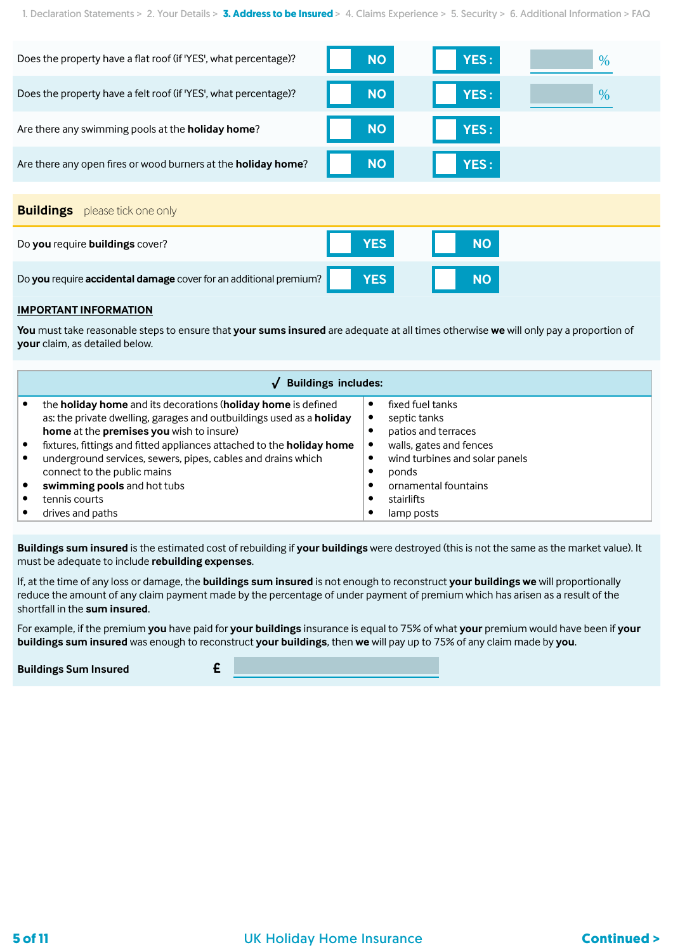| Does the property have a flat roof (if 'YES', what percentage)?       | <b>NO</b>  | YES:      | %    |
|-----------------------------------------------------------------------|------------|-----------|------|
| Does the property have a felt roof (if 'YES', what percentage)?       | <b>NO</b>  | YES:      | $\%$ |
| Are there any swimming pools at the <b>holiday home</b> ?             | <b>NO</b>  | YES:      |      |
| Are there any open fires or wood burners at the <b>holiday home</b> ? | <b>NO</b>  | YES:      |      |
|                                                                       |            |           |      |
| <b>Buildings</b><br>please tick one only                              |            |           |      |
| Do you require buildings cover?                                       | <b>YES</b> | <b>NO</b> |      |
| Do you require accidental damage cover for an additional premium?     | <b>YES</b> | <b>NO</b> |      |

#### **IMPORTANT INFORMATION**

**You** must take reasonable steps to ensure that **your sums insured** are adequate at all times otherwise **we** will only pay a proportion of **your** claim, as detailed below.

| <b>Buildings includes:</b> |                                                                                                                                       |  |                                  |
|----------------------------|---------------------------------------------------------------------------------------------------------------------------------------|--|----------------------------------|
|                            | the holiday home and its decorations (holiday home is defined<br>as: the private dwelling, garages and outbuildings used as a holiday |  | fixed fuel tanks<br>septic tanks |
|                            | home at the premises you wish to insure)                                                                                              |  | patios and terraces              |
|                            | fixtures, fittings and fitted appliances attached to the holiday home                                                                 |  | walls, gates and fences          |
|                            | underground services, sewers, pipes, cables and drains which                                                                          |  | wind turbines and solar panels   |
|                            | connect to the public mains                                                                                                           |  | ponds                            |
|                            | swimming pools and hot tubs                                                                                                           |  | ornamental fountains             |
|                            | tennis courts                                                                                                                         |  | stairlifts                       |
|                            | drives and paths                                                                                                                      |  | lamp posts                       |

**Buildings sum insured** is the estimated cost of rebuilding if **your buildings** were destroyed (this is not the same as the market value). It must be adequate to include **rebuilding expenses**.

If, at the time of any loss or damage, the **buildings sum insured** is not enough to reconstruct **your buildings we** will proportionally reduce the amount of any claim payment made by the percentage of under payment of premium which has arisen as a result of the shortfall in the **sum insured**.

For example, if the premium **you** have paid for **your buildings** insurance is equal to 75% of what **your** premium would have been if **your buildings sum insured** was enough to reconstruct **your buildings**, then **we** will pay up to 75% of any claim made by **you**.

**Buildings Sum Insured £**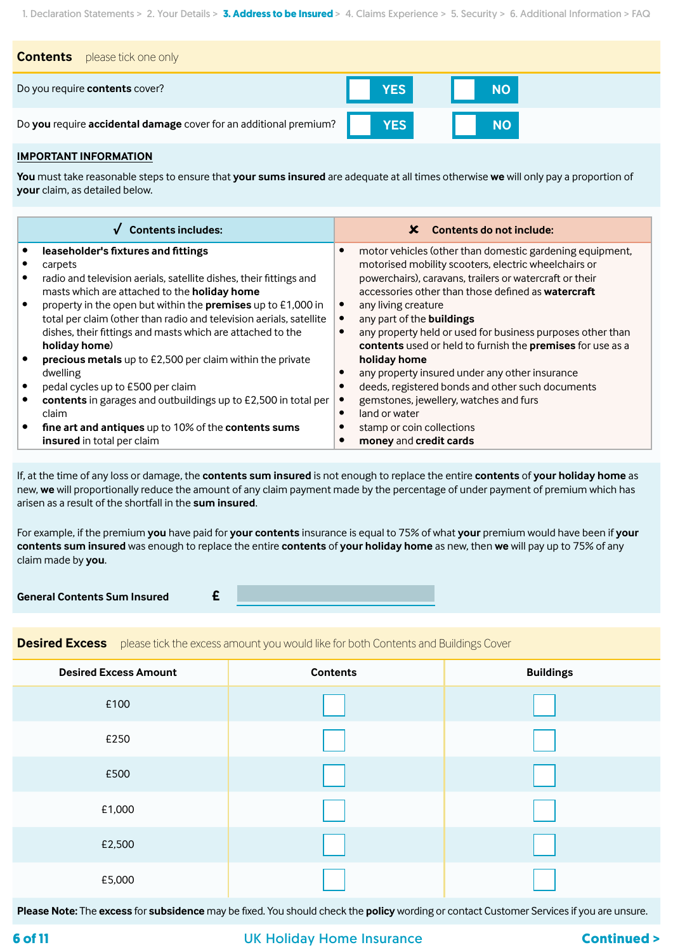| please tick one only<br><b>Contents</b>                           |     |           |
|-------------------------------------------------------------------|-----|-----------|
| Do you require contents cover?                                    | YES | <b>NO</b> |
| Do you require accidental damage cover for an additional premium? |     | <b>NO</b> |

#### **IMPORTANT INFORMATION**

**You** must take reasonable steps to ensure that **your sums insured** are adequate at all times otherwise **we** will only pay a proportion of **your** claim, as detailed below.

| <b>Contents includes:</b>                                           | Contents do not include:<br>x                                 |
|---------------------------------------------------------------------|---------------------------------------------------------------|
| leaseholder's fixtures and fittings                                 | motor vehicles (other than domestic gardening equipment,<br>с |
| carpets                                                             | motorised mobility scooters, electric wheelchairs or          |
| radio and television aerials, satellite dishes, their fittings and  | powerchairs), caravans, trailers or watercraft or their       |
| masts which are attached to the holiday home                        | accessories other than those defined as <b>watercraft</b>     |
| property in the open but within the <b>premises</b> up to £1,000 in | any living creature                                           |
| total per claim (other than radio and television aerials, satellite | any part of the buildings                                     |
| dishes, their fittings and masts which are attached to the          | any property held or used for business purposes other than    |
| holiday home)                                                       | contents used or held to furnish the premises for use as a    |
| precious metals up to £2,500 per claim within the private           | holiday home                                                  |
| dwelling                                                            | any property insured under any other insurance                |
| pedal cycles up to £500 per claim                                   | deeds, registered bonds and other such documents              |
| contents in garages and outbuildings up to £2,500 in total per      | gemstones, jewellery, watches and furs                        |
| claim                                                               | land or water<br>$\bullet$                                    |
| fine art and antiques up to 10% of the contents sums                | stamp or coin collections                                     |
| insured in total per claim                                          | money and credit cards                                        |

If, at the time of any loss or damage, the **contents sum insured** is not enough to replace the entire **contents** of **your holiday home** as new, **we** will proportionally reduce the amount of any claim payment made by the percentage of under payment of premium which has arisen as a result of the shortfall in the **sum insured**.

For example, if the premium **you** have paid for **your contents** insurance is equal to 75% of what **your** premium would have been if **your contents sum insured** was enough to replace the entire **contents** of **your holiday home** as new, then **we** will pay up to 75% of any claim made by **you**.

**General Contents Sum Insured £**

**Desired Excess** please tick the excess amount you would like for both Contents and Buildings Cover

| <b>Desired Excess Amount</b> | <b>Contents</b> | <b>Buildings</b> |
|------------------------------|-----------------|------------------|
| £100                         |                 |                  |
| £250                         |                 |                  |
| £500                         |                 |                  |
| £1,000                       |                 |                  |
| £2,500                       |                 |                  |
| £5,000                       |                 |                  |

**Please Note:** The **excess** for **subsidence** may be fixed. You should check the **policy** wording or contact Customer Services if you are unsure.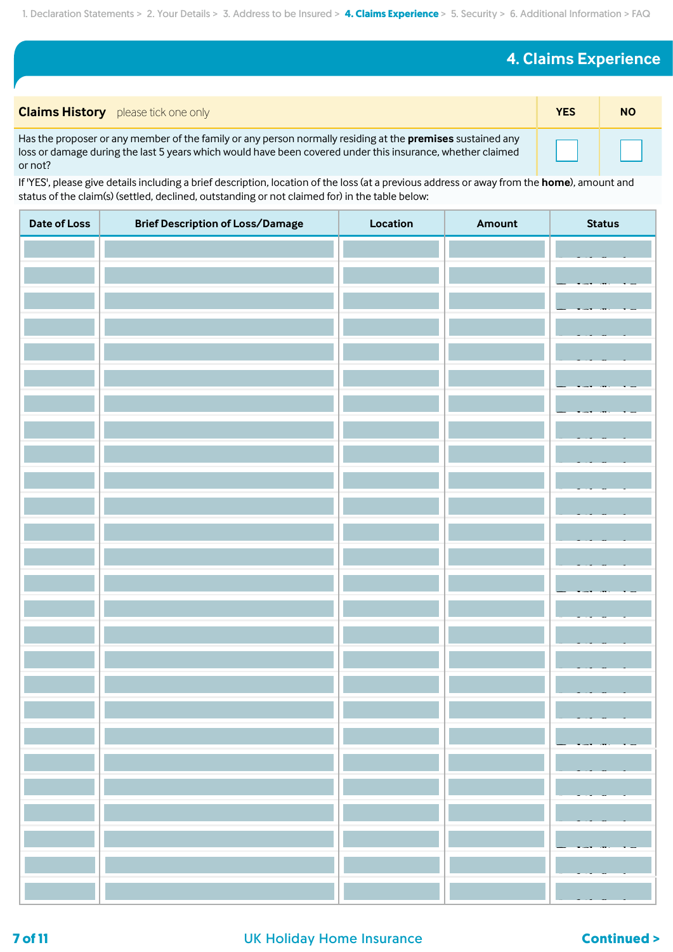# **4. Claims Experience**

| <b>Claims History</b> please tick one only                                                                                                                                                                                                 | <b>YES</b> | <b>NO</b> |
|--------------------------------------------------------------------------------------------------------------------------------------------------------------------------------------------------------------------------------------------|------------|-----------|
| Has the proposer or any member of the family or any person normally residing at the <b>premises</b> sustained any<br>loss or damage during the last 5 years which would have been covered under this insurance, whether claimed<br>or not? |            |           |

If 'YES', please give details including a brief description, location of the loss (at a previous address or away from the **home**), amount and status of the claim(s) (settled, declined, outstanding or not claimed for) in the table below:

| Date of Loss | <b>Brief Description of Loss/Damage</b> | Location | Amount | <b>Status</b> |
|--------------|-----------------------------------------|----------|--------|---------------|
|              |                                         |          |        |               |
|              |                                         |          |        |               |
|              |                                         |          |        |               |
|              |                                         |          |        |               |
|              |                                         |          |        |               |
|              |                                         |          |        |               |
|              |                                         |          |        |               |
|              |                                         |          |        |               |
|              |                                         |          |        |               |
|              |                                         |          |        |               |
|              |                                         |          |        |               |
|              |                                         |          |        |               |
|              |                                         |          |        |               |
|              |                                         |          |        |               |
|              |                                         |          |        |               |
|              |                                         |          |        |               |
|              |                                         |          |        |               |
|              |                                         |          |        |               |
|              |                                         |          |        |               |
|              |                                         |          |        |               |
|              |                                         |          |        |               |
|              |                                         |          |        |               |
|              |                                         |          |        |               |
|              |                                         |          |        |               |
|              |                                         |          |        |               |
|              |                                         |          |        |               |

### **7 of 11 DR Holiday Home Insurance Continued > Continued >**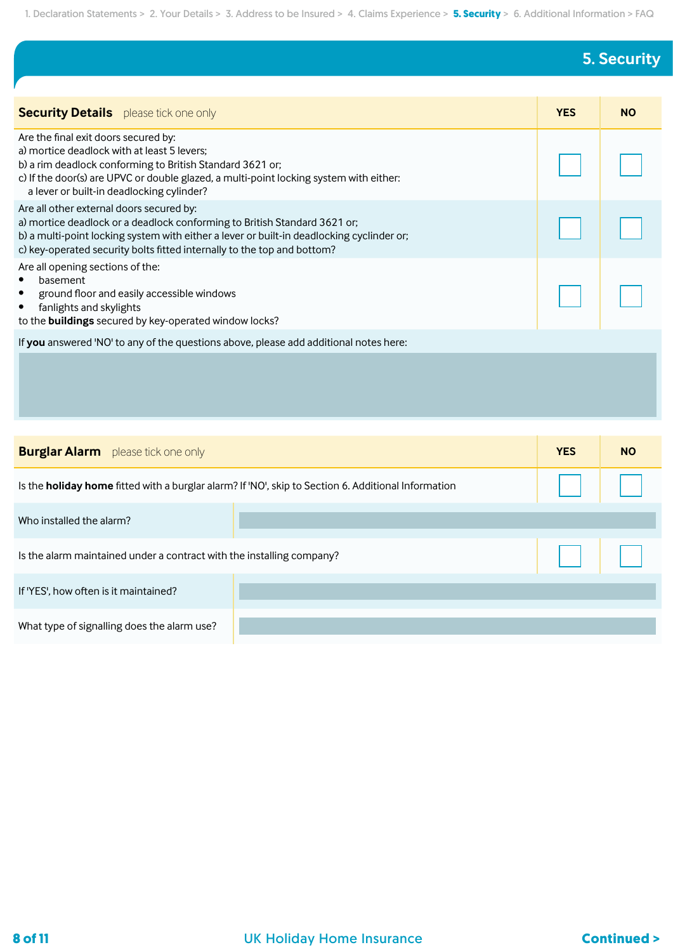# **5. Security**

| <b>Security Details</b> please tick one only                                                                                                                                                                                                                                                  | <b>YES</b> | <b>NO</b> |
|-----------------------------------------------------------------------------------------------------------------------------------------------------------------------------------------------------------------------------------------------------------------------------------------------|------------|-----------|
| Are the final exit doors secured by:<br>a) mortice deadlock with at least 5 levers;<br>b) a rim deadlock conforming to British Standard 3621 or;<br>c) If the door(s) are UPVC or double glazed, a multi-point locking system with either:<br>a lever or built-in deadlocking cylinder?       |            |           |
| Are all other external doors secured by:<br>a) mortice deadlock or a deadlock conforming to British Standard 3621 or;<br>b) a multi-point locking system with either a lever or built-in deadlocking cyclinder or;<br>c) key-operated security bolts fitted internally to the top and bottom? |            |           |
| Are all opening sections of the:<br>basement<br>$\bullet$<br>ground floor and easily accessible windows<br>$\bullet$<br>fanlights and skylights<br>$\bullet$<br>to the buildings secured by key-operated window locks?                                                                        |            |           |
| If you answered 'NO' to any of the questions above, please add additional notes here:                                                                                                                                                                                                         |            |           |
|                                                                                                                                                                                                                                                                                               |            |           |

| <b>Burglar Alarm</b> please tick one only                             |                                                                                                            | <b>YES</b> | <b>NO</b> |
|-----------------------------------------------------------------------|------------------------------------------------------------------------------------------------------------|------------|-----------|
|                                                                       | Is the <b>holiday home</b> fitted with a burglar alarm? If 'NO', skip to Section 6. Additional Information |            |           |
| Who installed the alarm?                                              |                                                                                                            |            |           |
| Is the alarm maintained under a contract with the installing company? |                                                                                                            | $\Box$     |           |
| If 'YES', how often is it maintained?                                 |                                                                                                            |            |           |
| What type of signalling does the alarm use?                           |                                                                                                            |            |           |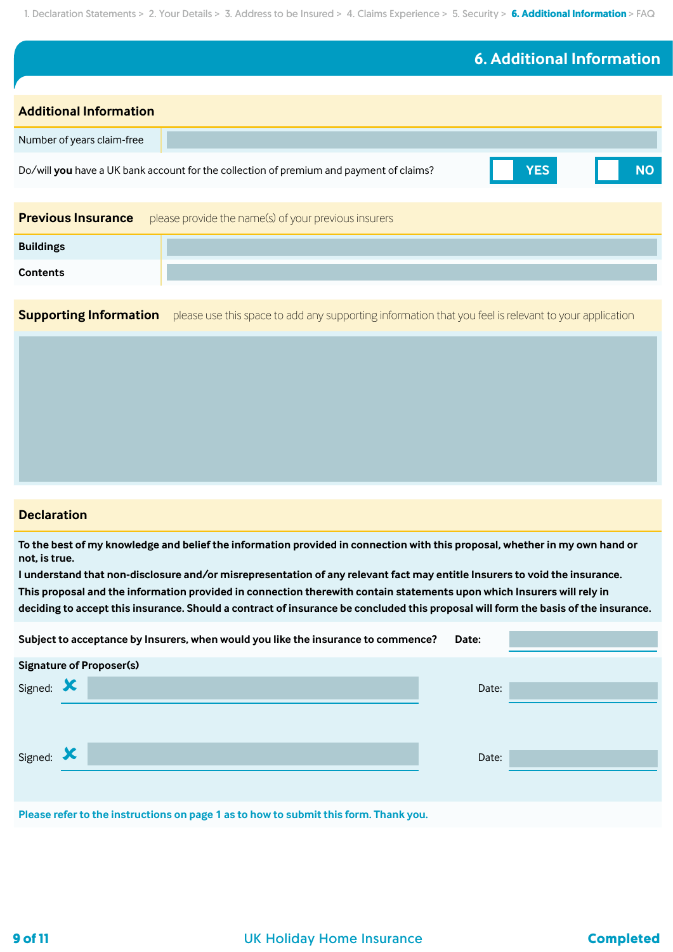## **6. Additional Information**

| <b>Additional Information</b> |                                                                                         |            |           |
|-------------------------------|-----------------------------------------------------------------------------------------|------------|-----------|
| Number of years claim-free    |                                                                                         |            |           |
|                               | Do/will you have a UK bank account for the collection of premium and payment of claims? | <b>YES</b> | <b>NO</b> |
|                               |                                                                                         |            |           |
| <b>Previous Insurance</b>     | please provide the name(s) of your previous insurers                                    |            |           |
| <b>Buildings</b>              |                                                                                         |            |           |
| <b>Contents</b>               |                                                                                         |            |           |

**Supporting Information** please use this space to add any supporting information that you feel is relevant to your application

### **Declaration**

**To the best of my knowledge and belief the information provided in connection with this proposal, whether in my own hand or not, is true.**

**I understand that non-disclosure and/or misrepresentation of any relevant fact may entitle Insurers to void the insurance. This proposal and the information provided in connection therewith contain statements upon which Insurers will rely in deciding to accept this insurance. Should a contract of insurance be concluded this proposal will form the basis of the insurance.**

| Subject to acceptance by Insurers, when would you like the insurance to commence?<br>Date: |                                                                                      |       |  |
|--------------------------------------------------------------------------------------------|--------------------------------------------------------------------------------------|-------|--|
|                                                                                            | <b>Signature of Proposer(s)</b>                                                      |       |  |
| Signed:                                                                                    |                                                                                      | Date: |  |
|                                                                                            |                                                                                      |       |  |
| Signed: X                                                                                  |                                                                                      | Date: |  |
|                                                                                            |                                                                                      |       |  |
|                                                                                            | Please refer to the instructions on page 1 as to how to submit this form. Thank you. |       |  |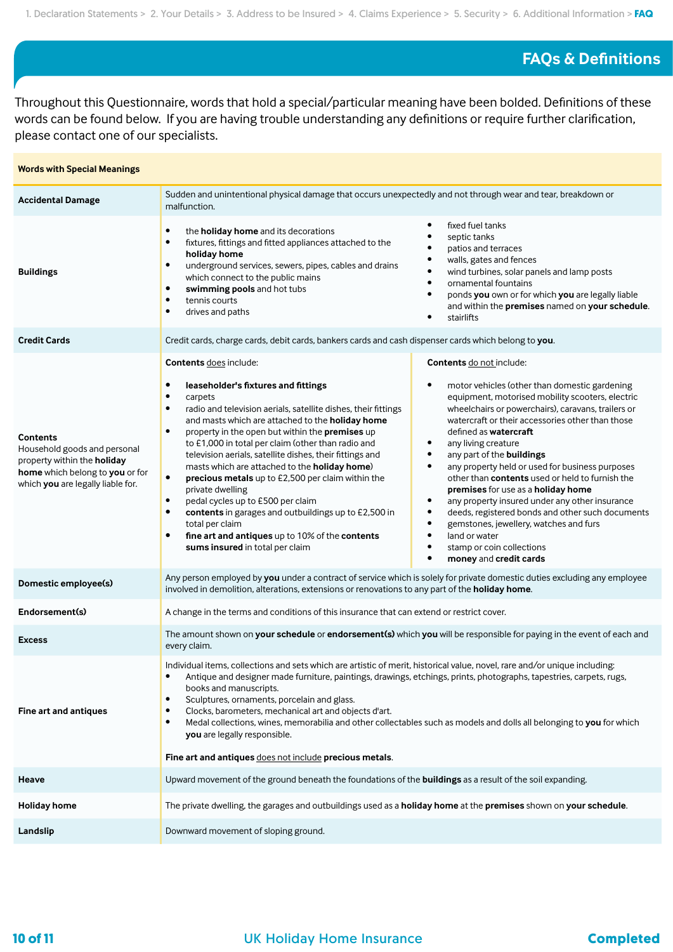## **FAQs & Definitions**

Throughout this Questionnaire, words that hold a special/particular meaning have been bolded. Definitions of these words can be found below. If you are having trouble understanding any definitions or require further clarification, please contact one of our specialists.

| <b>Words with Special Meanings</b>                                                                                                                     |                                                                                                                                                                                                                                                                                                                                                                                                                                                                                                                                                                                                                                                                                                                                                                                                                           |                                                                                                                                                                                                                                                                                                                                                                                                                                                                                                                                                                                                                                                                                                                                                                                               |
|--------------------------------------------------------------------------------------------------------------------------------------------------------|---------------------------------------------------------------------------------------------------------------------------------------------------------------------------------------------------------------------------------------------------------------------------------------------------------------------------------------------------------------------------------------------------------------------------------------------------------------------------------------------------------------------------------------------------------------------------------------------------------------------------------------------------------------------------------------------------------------------------------------------------------------------------------------------------------------------------|-----------------------------------------------------------------------------------------------------------------------------------------------------------------------------------------------------------------------------------------------------------------------------------------------------------------------------------------------------------------------------------------------------------------------------------------------------------------------------------------------------------------------------------------------------------------------------------------------------------------------------------------------------------------------------------------------------------------------------------------------------------------------------------------------|
| <b>Accidental Damage</b>                                                                                                                               | Sudden and unintentional physical damage that occurs unexpectedly and not through wear and tear, breakdown or<br>malfunction.                                                                                                                                                                                                                                                                                                                                                                                                                                                                                                                                                                                                                                                                                             |                                                                                                                                                                                                                                                                                                                                                                                                                                                                                                                                                                                                                                                                                                                                                                                               |
| <b>Buildings</b>                                                                                                                                       | the holiday home and its decorations<br>$\bullet$<br>fixtures, fittings and fitted appliances attached to the<br>$\bullet$<br>holiday home<br>underground services, sewers, pipes, cables and drains<br>$\bullet$<br>which connect to the public mains<br>swimming pools and hot tubs<br>$\bullet$<br>tennis courts<br>$\bullet$<br>drives and paths<br>$\bullet$                                                                                                                                                                                                                                                                                                                                                                                                                                                         | fixed fuel tanks<br>septic tanks<br>patios and terraces<br>walls, gates and fences<br>wind turbines, solar panels and lamp posts<br>$\bullet$<br>ornamental fountains<br>$\bullet$<br>ponds you own or for which you are legally liable<br>$\bullet$<br>and within the premises named on your schedule.<br>stairlifts                                                                                                                                                                                                                                                                                                                                                                                                                                                                         |
| <b>Credit Cards</b>                                                                                                                                    | Credit cards, charge cards, debit cards, bankers cards and cash dispenser cards which belong to you.                                                                                                                                                                                                                                                                                                                                                                                                                                                                                                                                                                                                                                                                                                                      |                                                                                                                                                                                                                                                                                                                                                                                                                                                                                                                                                                                                                                                                                                                                                                                               |
| <b>Contents</b><br>Household goods and personal<br>property within the holiday<br>home which belong to you or for<br>which you are legally liable for. | <b>Contents does include:</b><br>$\bullet$<br>leaseholder's fixtures and fittings<br>$\bullet$<br>carpets<br>radio and television aerials, satellite dishes, their fittings<br>$\bullet$<br>and masts which are attached to the <b>holiday home</b><br>property in the open but within the premises up<br>$\bullet$<br>to £1,000 in total per claim (other than radio and<br>television aerials, satellite dishes, their fittings and<br>masts which are attached to the holiday home)<br>precious metals up to £2,500 per claim within the<br>$\bullet$<br>private dwelling<br>pedal cycles up to £500 per claim<br>$\bullet$<br>contents in garages and outbuildings up to £2,500 in<br>$\bullet$<br>total per claim<br>fine art and antiques up to 10% of the contents<br>$\bullet$<br>sums insured in total per claim | Contents do not include:<br>motor vehicles (other than domestic gardening<br>٠<br>equipment, motorised mobility scooters, electric<br>wheelchairs or powerchairs), caravans, trailers or<br>watercraft or their accessories other than those<br>defined as watercraft<br>any living creature<br>$\bullet$<br>any part of the buildings<br>$\bullet$<br>any property held or used for business purposes<br>$\bullet$<br>other than contents used or held to furnish the<br>premises for use as a holiday home<br>any property insured under any other insurance<br>$\bullet$<br>deeds, registered bonds and other such documents<br>$\bullet$<br>gemstones, jewellery, watches and furs<br>٠<br>land or water<br>$\bullet$<br>stamp or coin collections<br>$\bullet$<br>money and credit cards |
| Domestic employee(s)                                                                                                                                   | Any person employed by you under a contract of service which is solely for private domestic duties excluding any employee<br>involved in demolition, alterations, extensions or renovations to any part of the holiday home.                                                                                                                                                                                                                                                                                                                                                                                                                                                                                                                                                                                              |                                                                                                                                                                                                                                                                                                                                                                                                                                                                                                                                                                                                                                                                                                                                                                                               |
| Endorsement(s)                                                                                                                                         | A change in the terms and conditions of this insurance that can extend or restrict cover.                                                                                                                                                                                                                                                                                                                                                                                                                                                                                                                                                                                                                                                                                                                                 |                                                                                                                                                                                                                                                                                                                                                                                                                                                                                                                                                                                                                                                                                                                                                                                               |
| <b>Excess</b>                                                                                                                                          | The amount shown on your schedule or endorsement(s) which you will be responsible for paying in the event of each and<br>every claim.                                                                                                                                                                                                                                                                                                                                                                                                                                                                                                                                                                                                                                                                                     |                                                                                                                                                                                                                                                                                                                                                                                                                                                                                                                                                                                                                                                                                                                                                                                               |
| Fine art and antiques                                                                                                                                  | Individual items, collections and sets which are artistic of merit, historical value, novel, rare and/or unique including:<br>Antique and designer made furniture, paintings, drawings, etchings, prints, photographs, tapestries, carpets, rugs,<br>$\bullet$<br>books and manuscripts.<br>Sculptures, ornaments, porcelain and glass.<br>٠<br>Clocks, barometers, mechanical art and objects d'art.<br>$\bullet$<br>Medal collections, wines, memorabilia and other collectables such as models and dolls all belonging to you for which<br>$\bullet$<br>you are legally responsible.<br>Fine art and antiques does not include precious metals.                                                                                                                                                                        |                                                                                                                                                                                                                                                                                                                                                                                                                                                                                                                                                                                                                                                                                                                                                                                               |
| Heave                                                                                                                                                  | Upward movement of the ground beneath the foundations of the <b>buildings</b> as a result of the soil expanding.                                                                                                                                                                                                                                                                                                                                                                                                                                                                                                                                                                                                                                                                                                          |                                                                                                                                                                                                                                                                                                                                                                                                                                                                                                                                                                                                                                                                                                                                                                                               |
| <b>Holiday home</b>                                                                                                                                    | The private dwelling, the garages and outbuildings used as a holiday home at the premises shown on your schedule.                                                                                                                                                                                                                                                                                                                                                                                                                                                                                                                                                                                                                                                                                                         |                                                                                                                                                                                                                                                                                                                                                                                                                                                                                                                                                                                                                                                                                                                                                                                               |
| Landslip                                                                                                                                               | Downward movement of sloping ground.                                                                                                                                                                                                                                                                                                                                                                                                                                                                                                                                                                                                                                                                                                                                                                                      |                                                                                                                                                                                                                                                                                                                                                                                                                                                                                                                                                                                                                                                                                                                                                                                               |